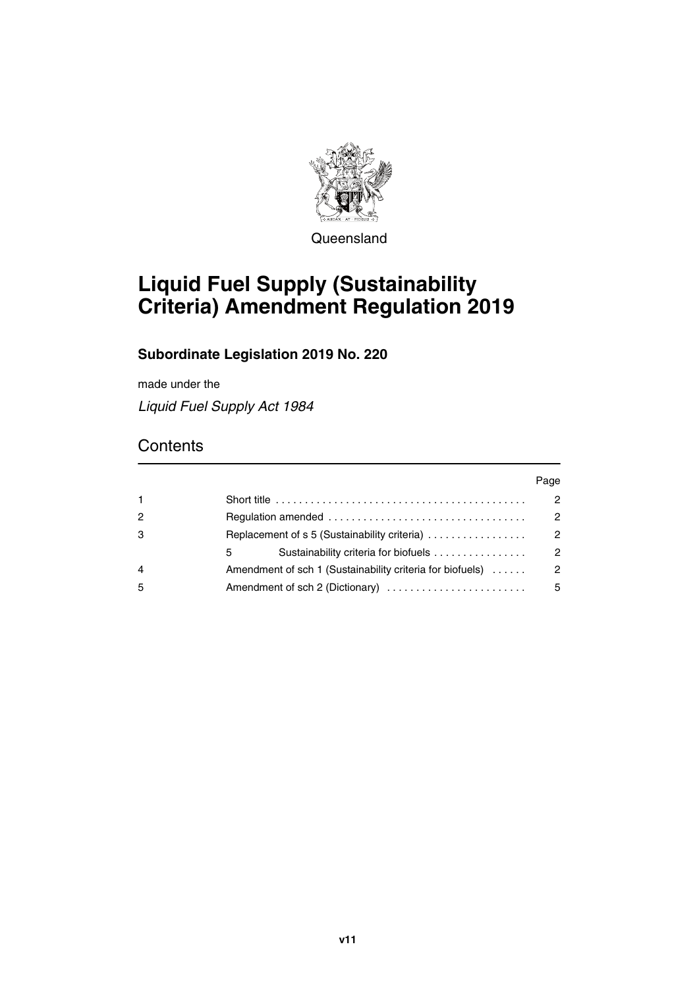

Queensland

# **Liquid Fuel Supply (Sustainability Criteria) Amendment Regulation 2019**

### **Subordinate Legislation 2019 No. 220**

made under the

*Liquid Fuel Supply Act 1984*

## **Contents**

|              |                                                           | Page                 |
|--------------|-----------------------------------------------------------|----------------------|
| $\mathbf{1}$ |                                                           | 2                    |
| 2            |                                                           | $\overline{2}$       |
| 3            | Replacement of s 5 (Sustainability criteria)              | $\mathcal{P}$        |
|              | Sustainability criteria for biofuels<br>5.                | $\mathbf{2}^{\circ}$ |
| 4            | Amendment of sch 1 (Sustainability criteria for biofuels) | $\mathcal{P}$        |
| 5            | Amendment of sch 2 (Dictionary)                           | 5                    |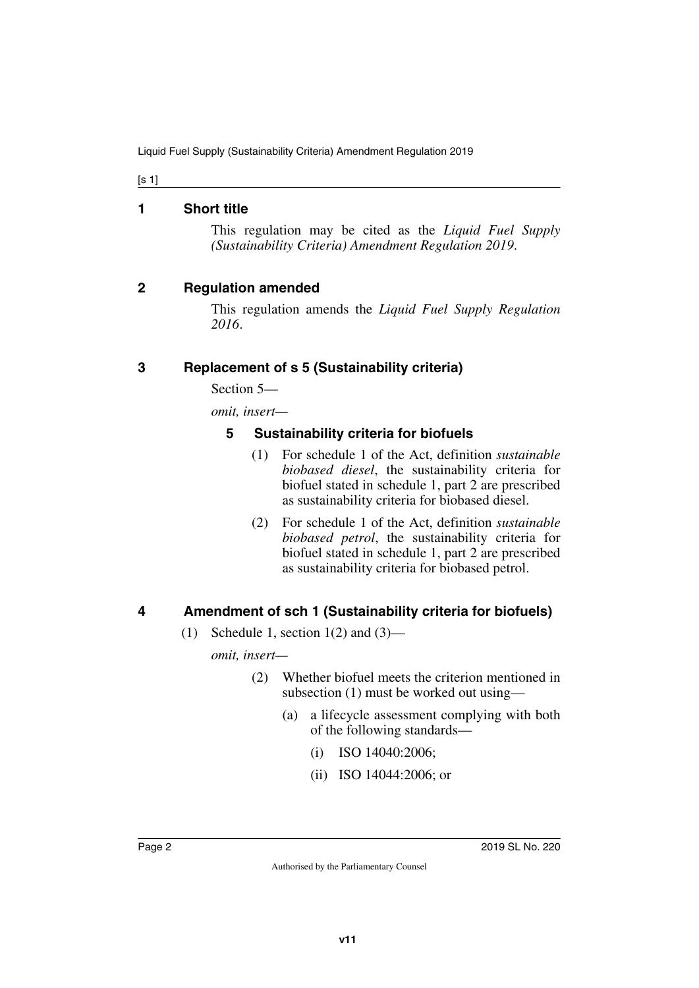[s 1]

### <span id="page-1-0"></span>**1 Short title**

<span id="page-1-1"></span>This regulation may be cited as the *Liquid Fuel Supply (Sustainability Criteria) Amendment Regulation 2019*.

### <span id="page-1-2"></span>**2 Regulation amended**

<span id="page-1-3"></span>This regulation amends the *Liquid Fuel Supply Regulation 2016*.

### <span id="page-1-4"></span>**3 Replacement of s 5 (Sustainability criteria)**

<span id="page-1-5"></span>Section 5—

*omit, insert—*

### <span id="page-1-7"></span><span id="page-1-6"></span>**5 Sustainability criteria for biofuels**

- (1) For schedule 1 of the Act, definition *sustainable biobased diesel*, the sustainability criteria for biofuel stated in schedule 1, part 2 are prescribed as sustainability criteria for biobased diesel.
- (2) For schedule 1 of the Act, definition *sustainable biobased petrol*, the sustainability criteria for biofuel stated in schedule 1, part 2 are prescribed as sustainability criteria for biobased petrol.

### <span id="page-1-8"></span>**4 Amendment of sch 1 (Sustainability criteria for biofuels)**

<span id="page-1-9"></span>(1) Schedule 1, section  $1(2)$  and  $(3)$ —

*omit, insert—*

- (2) Whether biofuel meets the criterion mentioned in subsection (1) must be worked out using—
	- (a) a lifecycle assessment complying with both of the following standards—
		- (i) ISO 14040:2006;
		- (ii) ISO 14044:2006; or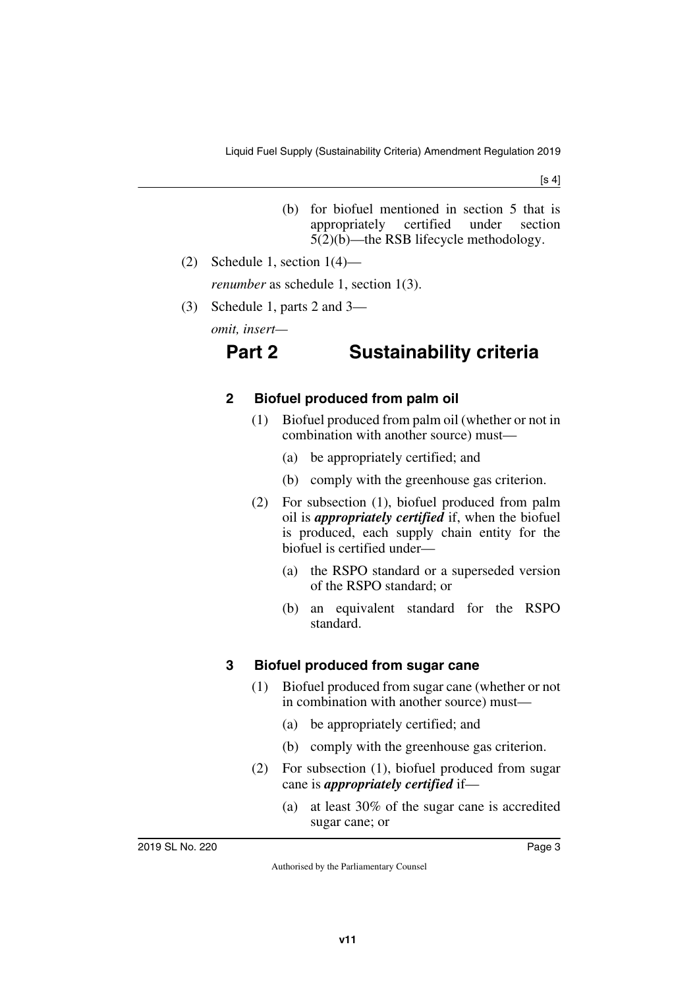- (b) for biofuel mentioned in section 5 that is appropriately certified under section 5(2)(b)—the RSB lifecycle methodology.
- (2) Schedule 1, section 1(4) *renumber* as schedule 1, section 1(3).
- (3) Schedule 1, parts 2 and 3—

*omit, insert—*

## **Part 2 Sustainability criteria**

### **2 Biofuel produced from palm oil**

- (1) Biofuel produced from palm oil (whether or not in combination with another source) must—
	- (a) be appropriately certified; and
	- (b) comply with the greenhouse gas criterion.
- (2) For subsection (1), biofuel produced from palm oil is *appropriately certified* if, when the biofuel is produced, each supply chain entity for the biofuel is certified under—
	- (a) the RSPO standard or a superseded version of the RSPO standard; or
	- (b) an equivalent standard for the RSPO standard.

### **3 Biofuel produced from sugar cane**

- (1) Biofuel produced from sugar cane (whether or not in combination with another source) must—
	- (a) be appropriately certified; and
	- (b) comply with the greenhouse gas criterion.
- (2) For subsection (1), biofuel produced from sugar cane is *appropriately certified* if—
	- (a) at least 30% of the sugar cane is accredited sugar cane; or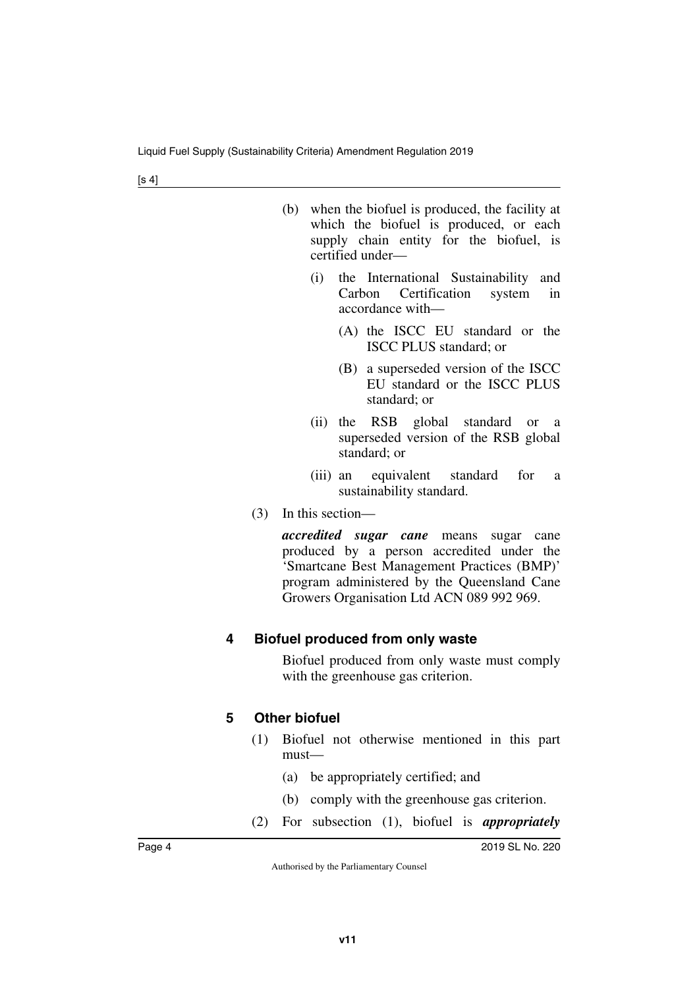|     | which the biofuel is produced, or each<br>supply chain entity for the biofuel, is<br>certified under— |
|-----|-------------------------------------------------------------------------------------------------------|
| (1) | the International Sustainability and<br>Carbon Certification system in<br>accordance with-            |
|     | (A) the ISCC EU standard or the                                                                       |

(b) when the biofuel is produced, the facility at

- (B) a superseded version of the ISCC EU standard or the ISCC PLUS standard; or
- (ii) the RSB global standard or a superseded version of the RSB global standard; or

ISCC PLUS standard; or

- (iii) an equivalent standard for a sustainability standard.
- (3) In this section—

*accredited sugar cane* means sugar cane produced by a person accredited under the 'Smartcane Best Management Practices (BMP)' program administered by the Queensland Cane Growers Organisation Ltd ACN 089 992 969.

### **4 Biofuel produced from only waste**

Biofuel produced from only waste must comply with the greenhouse gas criterion.

### **5 Other biofuel**

- (1) Biofuel not otherwise mentioned in this part must—
	- (a) be appropriately certified; and
	- (b) comply with the greenhouse gas criterion.
- (2) For subsection (1), biofuel is *appropriately*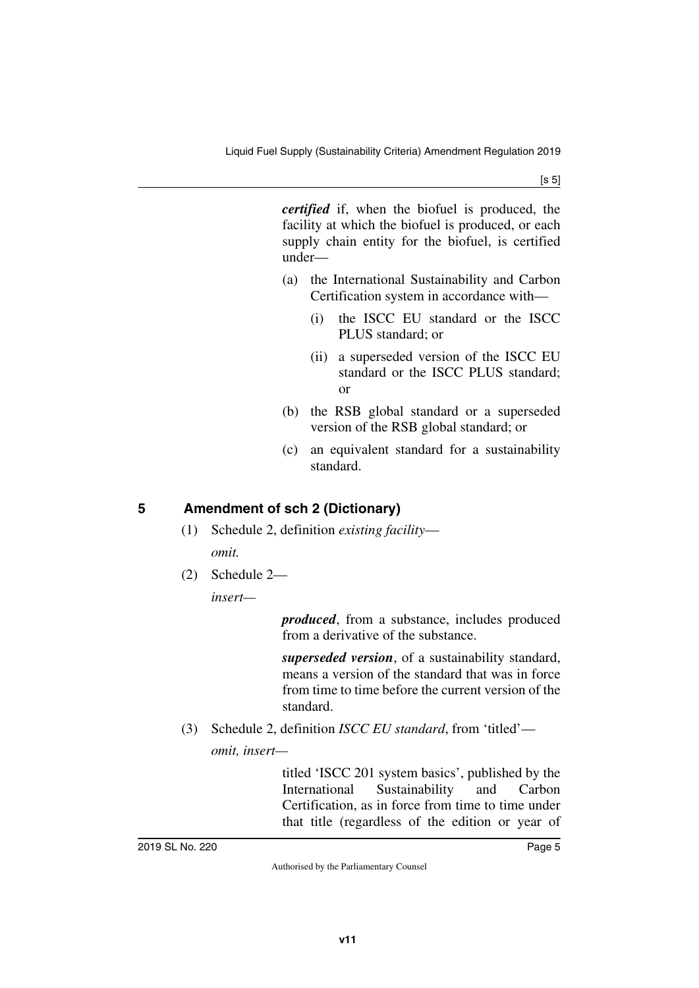*certified* if, when the biofuel is produced, the facility at which the biofuel is produced, or each supply chain entity for the biofuel, is certified under—

- (a) the International Sustainability and Carbon Certification system in accordance with—
	- (i) the ISCC EU standard or the ISCC PLUS standard; or
	- (ii) a superseded version of the ISCC EU standard or the ISCC PLUS standard; or
- (b) the RSB global standard or a superseded version of the RSB global standard; or
- (c) an equivalent standard for a sustainability standard.

### <span id="page-4-0"></span>**5 Amendment of sch 2 (Dictionary)**

- <span id="page-4-1"></span>(1) Schedule 2, definition *existing facility omit.*
- (2) Schedule 2—

*insert—*

*produced*, from a substance, includes produced from a derivative of the substance.

*superseded version*, of a sustainability standard, means a version of the standard that was in force from time to time before the current version of the standard.

(3) Schedule 2, definition *ISCC EU standard*, from 'titled'—

*omit, insert—*

titled 'ISCC 201 system basics', published by the International Sustainability and Carbon Certification, as in force from time to time under that title (regardless of the edition or year of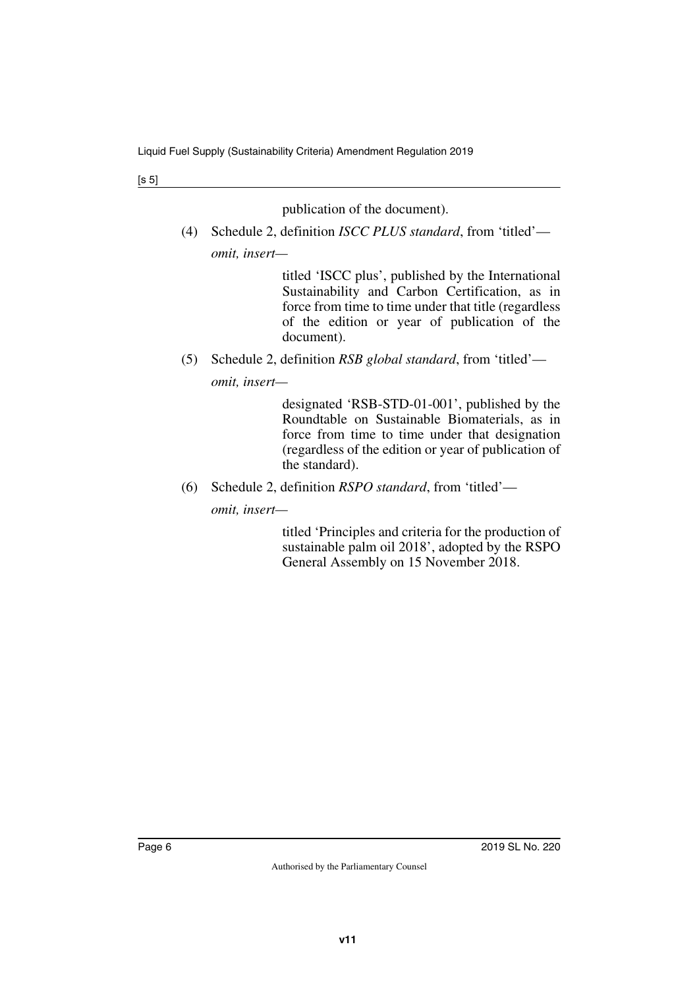publication of the document).

(4) Schedule 2, definition *ISCC PLUS standard*, from 'titled' *omit, insert—*

> titled 'ISCC plus', published by the International Sustainability and Carbon Certification, as in force from time to time under that title (regardless of the edition or year of publication of the document).

(5) Schedule 2, definition *RSB global standard*, from 'titled'—

*omit, insert—*

designated 'RSB-STD-01-001', published by the Roundtable on Sustainable Biomaterials, as in force from time to time under that designation (regardless of the edition or year of publication of the standard).

(6) Schedule 2, definition *RSPO standard*, from 'titled'—

*omit, insert—*

titled 'Principles and criteria for the production of sustainable palm oil 2018', adopted by the RSPO General Assembly on 15 November 2018.